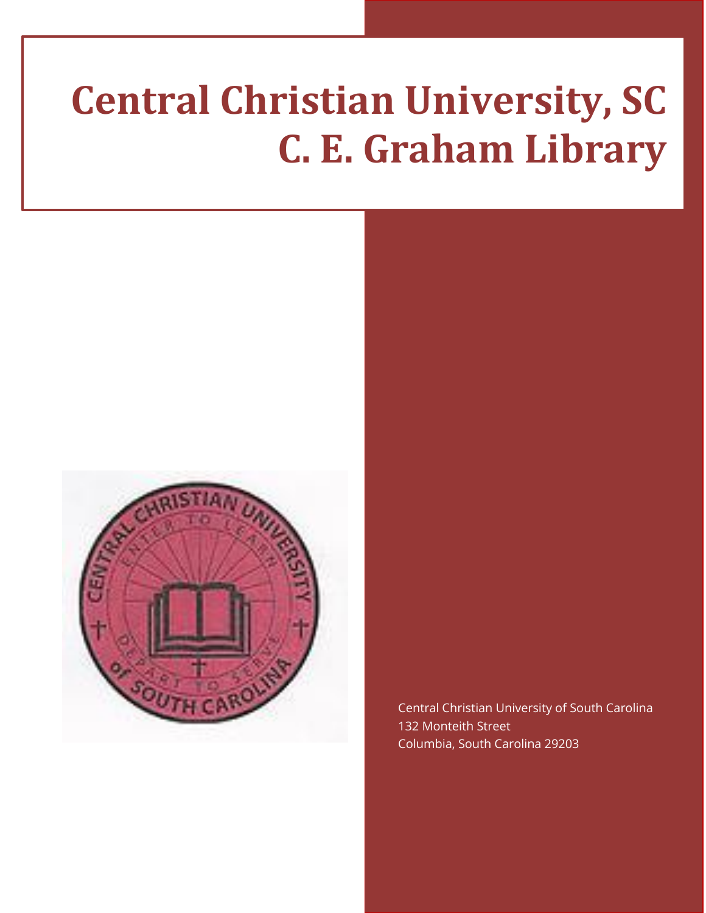# **Central Christian University, SC C. E. Graham Library**



Central Christian University of South Carolina 132 Monteith Street Columbia, South Carolina 29203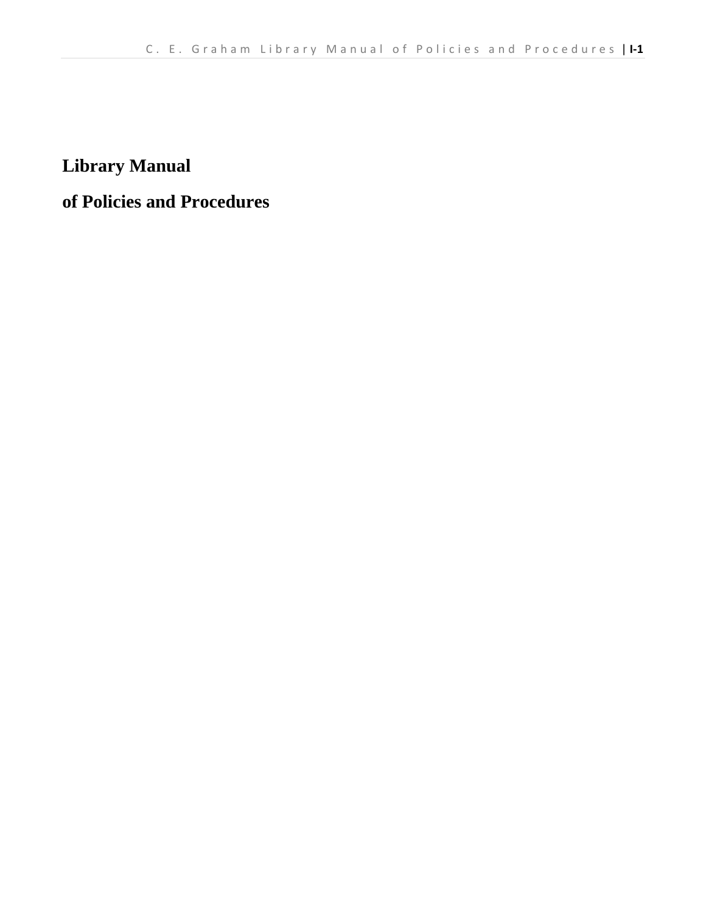**Library Manual** 

**of Policies and Procedures**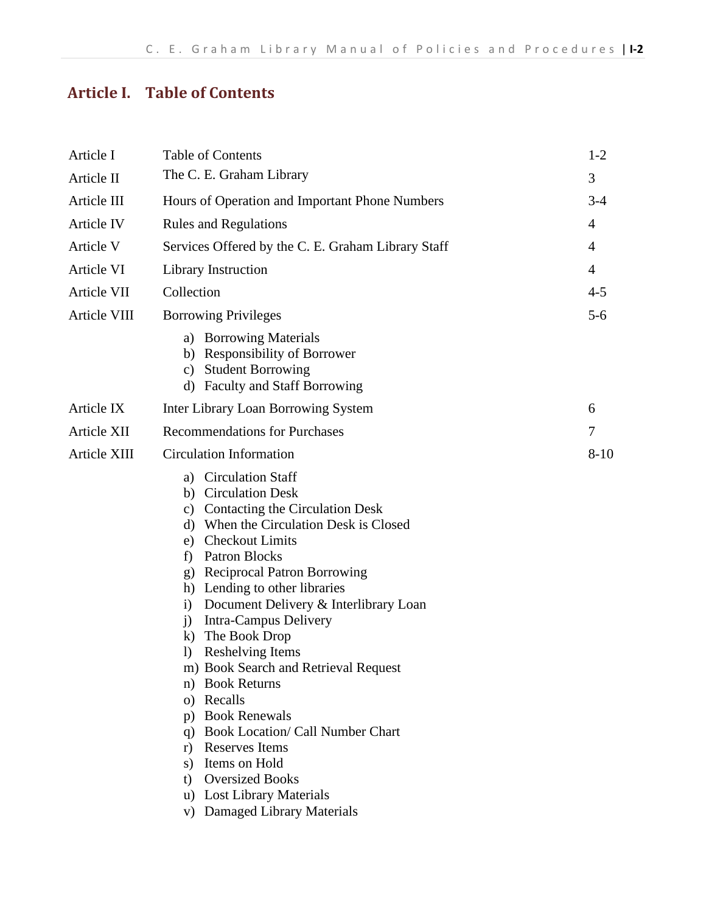## **Article I. Table of Contents**

| Article I    | <b>Table of Contents</b>                                                                                                                                                                                                                                                                                                                                                                                                                                                                                                                                                                                                                                                                                          |                |
|--------------|-------------------------------------------------------------------------------------------------------------------------------------------------------------------------------------------------------------------------------------------------------------------------------------------------------------------------------------------------------------------------------------------------------------------------------------------------------------------------------------------------------------------------------------------------------------------------------------------------------------------------------------------------------------------------------------------------------------------|----------------|
| Article II   | The C. E. Graham Library                                                                                                                                                                                                                                                                                                                                                                                                                                                                                                                                                                                                                                                                                          | 3              |
| Article III  | Hours of Operation and Important Phone Numbers                                                                                                                                                                                                                                                                                                                                                                                                                                                                                                                                                                                                                                                                    | $3 - 4$        |
| Article IV   | <b>Rules and Regulations</b>                                                                                                                                                                                                                                                                                                                                                                                                                                                                                                                                                                                                                                                                                      | 4              |
| Article V    | Services Offered by the C. E. Graham Library Staff<br>4                                                                                                                                                                                                                                                                                                                                                                                                                                                                                                                                                                                                                                                           |                |
| Article VI   | Library Instruction                                                                                                                                                                                                                                                                                                                                                                                                                                                                                                                                                                                                                                                                                               | $\overline{4}$ |
| Article VII  | Collection                                                                                                                                                                                                                                                                                                                                                                                                                                                                                                                                                                                                                                                                                                        |                |
| Article VIII | <b>Borrowing Privileges</b>                                                                                                                                                                                                                                                                                                                                                                                                                                                                                                                                                                                                                                                                                       | $5 - 6$        |
|              | a) Borrowing Materials<br>b) Responsibility of Borrower<br>c) Student Borrowing<br>d) Faculty and Staff Borrowing                                                                                                                                                                                                                                                                                                                                                                                                                                                                                                                                                                                                 |                |
| Article IX   | Inter Library Loan Borrowing System                                                                                                                                                                                                                                                                                                                                                                                                                                                                                                                                                                                                                                                                               | 6              |
| Article XII  | <b>Recommendations for Purchases</b>                                                                                                                                                                                                                                                                                                                                                                                                                                                                                                                                                                                                                                                                              | 7              |
| Article XIII | <b>Circulation Information</b>                                                                                                                                                                                                                                                                                                                                                                                                                                                                                                                                                                                                                                                                                    | $8 - 10$       |
|              | a) Circulation Staff<br>b) Circulation Desk<br>c) Contacting the Circulation Desk<br>d) When the Circulation Desk is Closed<br>e) Checkout Limits<br>Patron Blocks<br>f)<br><b>Reciprocal Patron Borrowing</b><br>g)<br>h) Lending to other libraries<br>Document Delivery & Interlibrary Loan<br>$\ddot{1}$<br>Intra-Campus Delivery<br>$\mathbf{j}$<br>k) The Book Drop<br><b>Reshelving Items</b><br>$\bf{D}$<br>m) Book Search and Retrieval Request<br>n) Book Returns<br>o) Recalls<br><b>Book Renewals</b><br>p)<br><b>Book Location/ Call Number Chart</b><br>q)<br>r) Reserves Items<br>Items on Hold<br>S)<br><b>Oversized Books</b><br>t)<br>u) Lost Library Materials<br>v) Damaged Library Materials |                |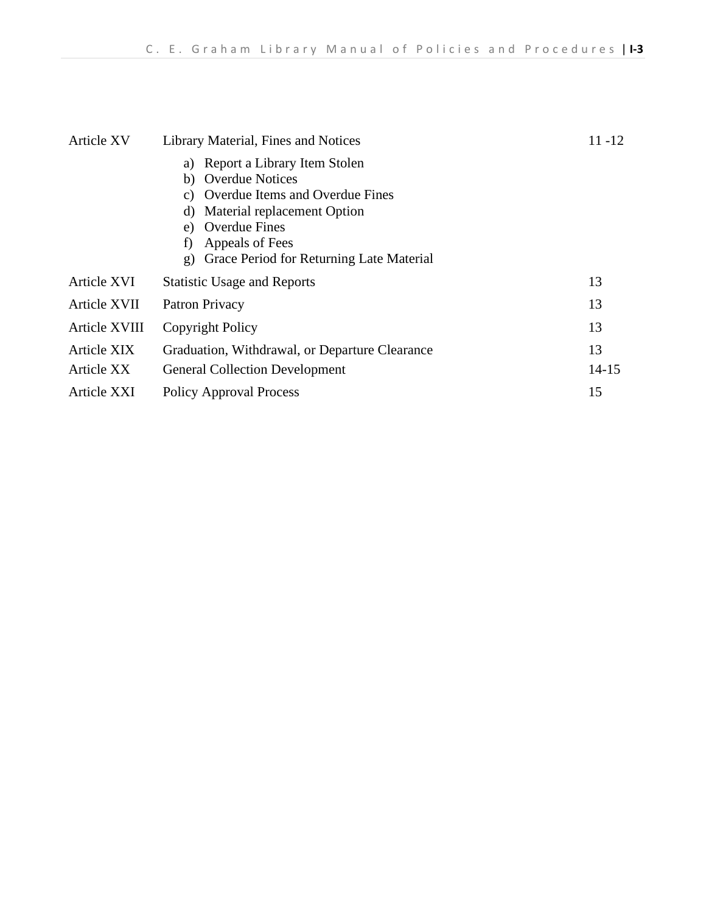| Article XV    | Library Material, Fines and Notices                                                                                                                                                                                                                       | $11 - 12$ |
|---------------|-----------------------------------------------------------------------------------------------------------------------------------------------------------------------------------------------------------------------------------------------------------|-----------|
|               | Report a Library Item Stolen<br>a)<br><b>Overdue Notices</b><br>b)<br>Overdue Items and Overdue Fines<br>C)<br>Material replacement Option<br>d)<br><b>Overdue Fines</b><br>e)<br>Appeals of Fees<br>f)<br>Grace Period for Returning Late Material<br>g) |           |
| Article XVI   | <b>Statistic Usage and Reports</b>                                                                                                                                                                                                                        | 13        |
| Article XVII  | Patron Privacy                                                                                                                                                                                                                                            | 13        |
| Article XVIII | Copyright Policy                                                                                                                                                                                                                                          |           |
| Article XIX   | Graduation, Withdrawal, or Departure Clearance                                                                                                                                                                                                            |           |
| Article XX    | $14 - 15$<br><b>General Collection Development</b>                                                                                                                                                                                                        |           |
| Article XXI   | 15<br><b>Policy Approval Process</b>                                                                                                                                                                                                                      |           |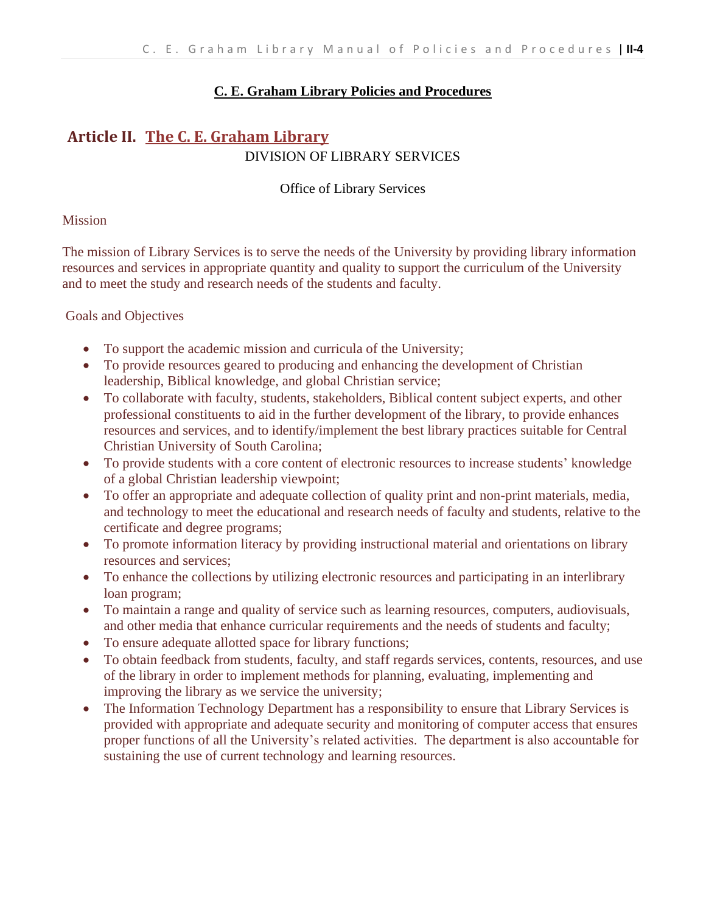#### **C. E. Graham Library Policies and Procedures**

#### **Article II. The C. E. Graham Library** DIVISION OF LIBRARY SERVICES

Office of Library Services

#### Mission

The mission of Library Services is to serve the needs of the University by providing library information resources and services in appropriate quantity and quality to support the curriculum of the University and to meet the study and research needs of the students and faculty.

Goals and Objectives

- To support the academic mission and curricula of the University;
- To provide resources geared to producing and enhancing the development of Christian leadership, Biblical knowledge, and global Christian service;
- To collaborate with faculty, students, stakeholders, Biblical content subject experts, and other professional constituents to aid in the further development of the library, to provide enhances resources and services, and to identify/implement the best library practices suitable for Central Christian University of South Carolina;
- To provide students with a core content of electronic resources to increase students' knowledge of a global Christian leadership viewpoint;
- To offer an appropriate and adequate collection of quality print and non-print materials, media, and technology to meet the educational and research needs of faculty and students, relative to the certificate and degree programs;
- To promote information literacy by providing instructional material and orientations on library resources and services;
- To enhance the collections by utilizing electronic resources and participating in an interlibrary loan program;
- To maintain a range and quality of service such as learning resources, computers, audiovisuals, and other media that enhance curricular requirements and the needs of students and faculty;
- To ensure adequate allotted space for library functions;
- To obtain feedback from students, faculty, and staff regards services, contents, resources, and use of the library in order to implement methods for planning, evaluating, implementing and improving the library as we service the university;
- The Information Technology Department has a responsibility to ensure that Library Services is provided with appropriate and adequate security and monitoring of computer access that ensures proper functions of all the University's related activities. The department is also accountable for sustaining the use of current technology and learning resources.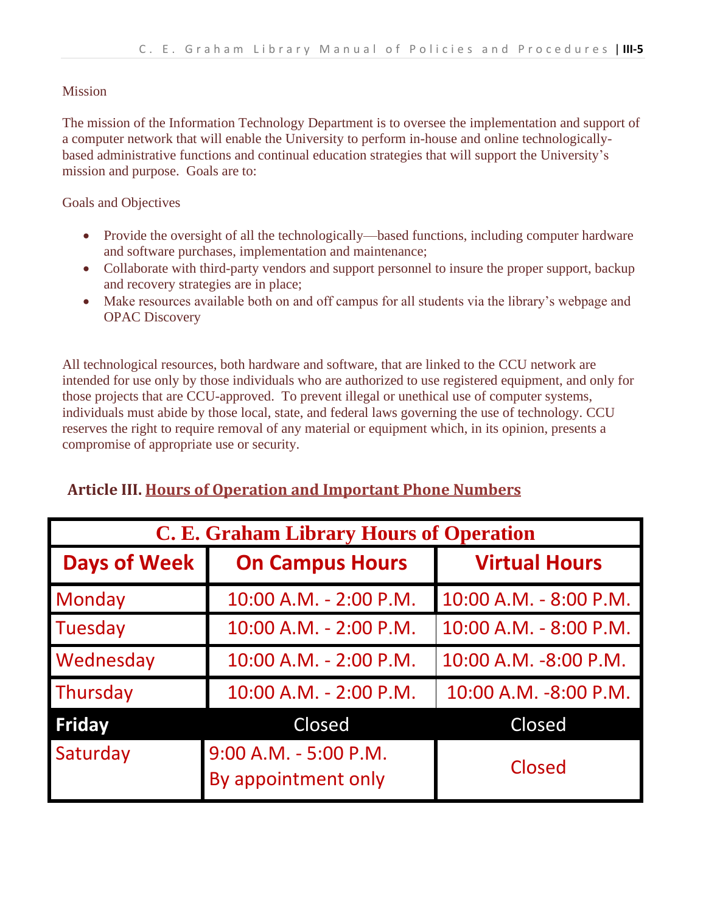#### Mission

The mission of the Information Technology Department is to oversee the implementation and support of a computer network that will enable the University to perform in-house and online technologicallybased administrative functions and continual education strategies that will support the University's mission and purpose. Goals are to:

Goals and Objectives

- Provide the oversight of all the technologically—based functions, including computer hardware and software purchases, implementation and maintenance;
- Collaborate with third-party vendors and support personnel to insure the proper support, backup and recovery strategies are in place;
- Make resources available both on and off campus for all students via the library's webpage and OPAC Discovery

All technological resources, both hardware and software, that are linked to the CCU network are intended for use only by those individuals who are authorized to use registered equipment, and only for those projects that are CCU-approved. To prevent illegal or unethical use of computer systems, individuals must abide by those local, state, and federal laws governing the use of technology. CCU reserves the right to require removal of any material or equipment which, in its opinion, presents a compromise of appropriate use or security.

#### **Article III. Hours of Operation and Important Phone Numbers**

| C. E. Graham Library Hours of Operation |                                              |                        |  |  |  |
|-----------------------------------------|----------------------------------------------|------------------------|--|--|--|
| <b>Days of Week</b>                     | <b>On Campus Hours</b>                       | <b>Virtual Hours</b>   |  |  |  |
| Monday                                  | 10:00 A.M. - 2:00 P.M.                       | 10:00 A.M. - 8:00 P.M. |  |  |  |
| Tuesday                                 | 10:00 A.M. - 2:00 P.M.                       | 10:00 A.M. - 8:00 P.M. |  |  |  |
| Wednesday                               | 10:00 A.M. - 2:00 P.M.                       | 10:00 A.M. -8:00 P.M.  |  |  |  |
| Thursday                                | 10:00 A.M. - 2:00 P.M.                       | 10:00 A.M. -8:00 P.M.  |  |  |  |
| <b>Friday</b>                           | Closed                                       | Closed                 |  |  |  |
| Saturday                                | 9:00 A.M. - 5:00 P.M.<br>By appointment only | Closed                 |  |  |  |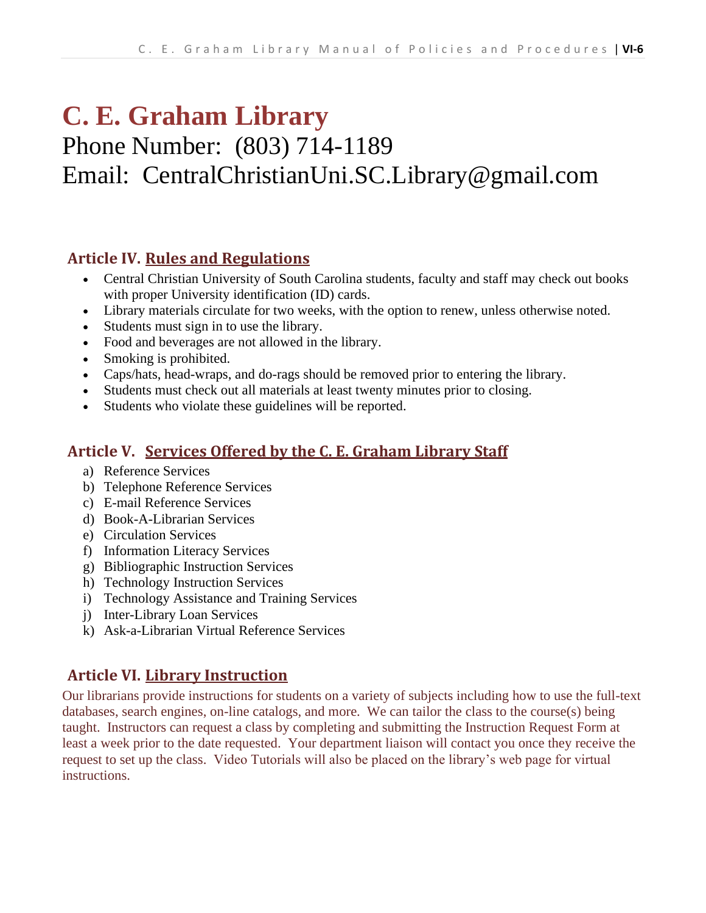# **C. E. Graham Library**

## Phone Number: (803) 714-1189 Email: CentralChristianUni.SC.Library@gmail.com

#### **Article IV. Rules and Regulations**

- Central Christian University of South Carolina students, faculty and staff may check out books with proper University identification (ID) cards.
- Library materials circulate for two weeks, with the option to renew, unless otherwise noted.
- Students must sign in to use the library.
- Food and beverages are not allowed in the library.
- Smoking is prohibited.
- Caps/hats, head-wraps, and do-rags should be removed prior to entering the library.
- Students must check out all materials at least twenty minutes prior to closing.
- Students who violate these guidelines will be reported.

#### **Article V. Services Offered by the C. E. Graham Library Staff**

- a) Reference Services
- b) Telephone Reference Services
- c) E-mail Reference Services
- d) Book-A-Librarian Services
- e) Circulation Services
- f) Information Literacy Services
- g) Bibliographic Instruction Services
- h) Technology Instruction Services
- i) Technology Assistance and Training Services
- j) Inter-Library Loan Services
- k) Ask-a-Librarian Virtual Reference Services

#### **Article VI. Library Instruction**

Our librarians provide instructions for students on a variety of subjects including how to use the full-text databases, search engines, on-line catalogs, and more. We can tailor the class to the course(s) being taught. Instructors can request a class by completing and submitting the Instruction Request Form at least a week prior to the date requested. Your department liaison will contact you once they receive the request to set up the class. Video Tutorials will also be placed on the library's web page for virtual instructions.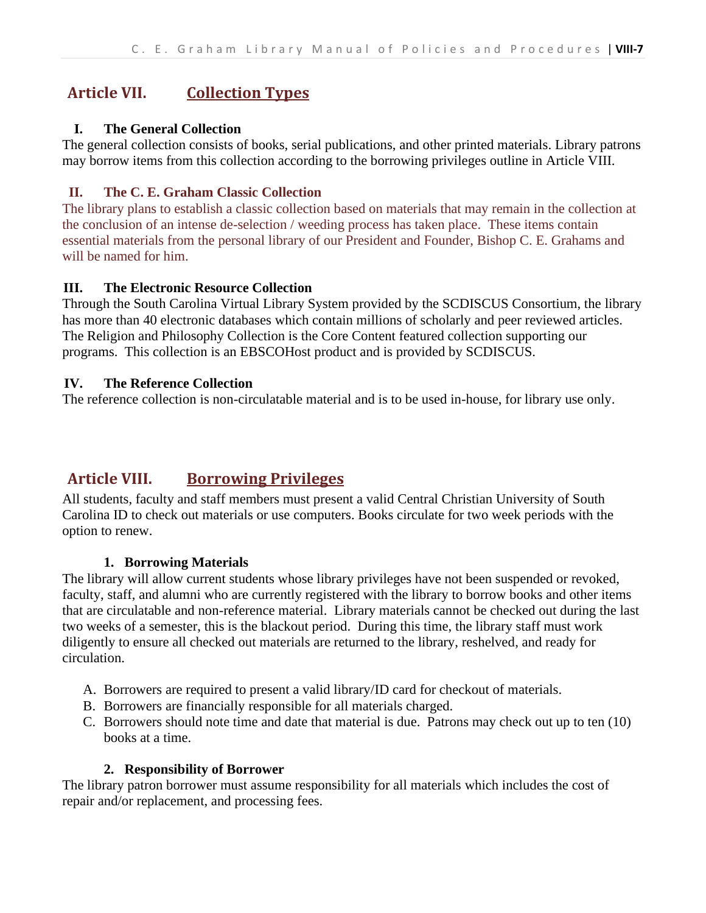### **Article VII. Collection Types**

#### **I. The General Collection**

The general collection consists of books, serial publications, and other printed materials. Library patrons may borrow items from this collection according to the borrowing privileges outline in Article VIII.

#### **II. The C. E. Graham Classic Collection**

The library plans to establish a classic collection based on materials that may remain in the collection at the conclusion of an intense de-selection / weeding process has taken place. These items contain essential materials from the personal library of our President and Founder, Bishop C. E. Grahams and will be named for him.

#### **III. The Electronic Resource Collection**

Through the South Carolina Virtual Library System provided by the SCDISCUS Consortium, the library has more than 40 electronic databases which contain millions of scholarly and peer reviewed articles. The Religion and Philosophy Collection is the Core Content featured collection supporting our programs. This collection is an EBSCOHost product and is provided by SCDISCUS.

#### **IV. The Reference Collection**

The reference collection is non-circulatable material and is to be used in-house, for library use only.

#### **Article VIII. Borrowing Privileges**

All students, faculty and staff members must present a valid Central Christian University of South Carolina ID to check out materials or use computers. Books circulate for two week periods with the option to renew.

#### **1. Borrowing Materials**

The library will allow current students whose library privileges have not been suspended or revoked, faculty, staff, and alumni who are currently registered with the library to borrow books and other items that are circulatable and non-reference material. Library materials cannot be checked out during the last two weeks of a semester, this is the blackout period. During this time, the library staff must work diligently to ensure all checked out materials are returned to the library, reshelved, and ready for circulation.

- A. Borrowers are required to present a valid library/ID card for checkout of materials.
- B. Borrowers are financially responsible for all materials charged.
- C. Borrowers should note time and date that material is due. Patrons may check out up to ten (10) books at a time.

#### **2. Responsibility of Borrower**

The library patron borrower must assume responsibility for all materials which includes the cost of repair and/or replacement, and processing fees.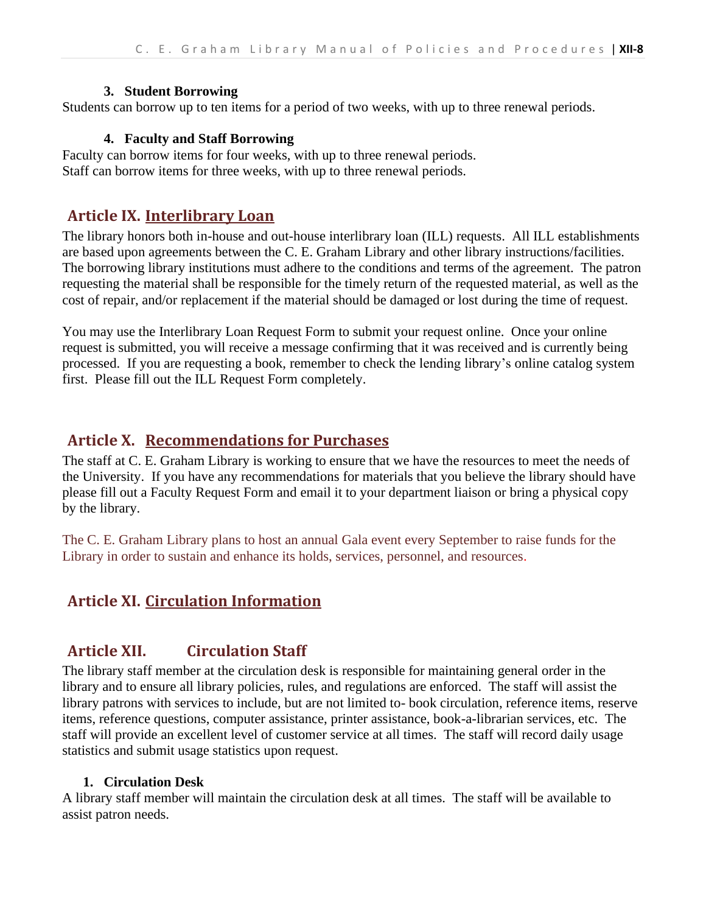#### **3. Student Borrowing**

Students can borrow up to ten items for a period of two weeks, with up to three renewal periods.

#### **4. Faculty and Staff Borrowing**

Faculty can borrow items for four weeks, with up to three renewal periods. Staff can borrow items for three weeks, with up to three renewal periods.

#### **Article IX. Interlibrary Loan**

The library honors both in-house and out-house interlibrary loan (ILL) requests. All ILL establishments are based upon agreements between the C. E. Graham Library and other library instructions/facilities. The borrowing library institutions must adhere to the conditions and terms of the agreement. The patron requesting the material shall be responsible for the timely return of the requested material, as well as the cost of repair, and/or replacement if the material should be damaged or lost during the time of request.

You may use the Interlibrary Loan Request Form to submit your request online. Once your online request is submitted, you will receive a message confirming that it was received and is currently being processed. If you are requesting a book, remember to check the lending library's online catalog system first. Please fill out the ILL Request Form completely.

#### **Article X. Recommendations for Purchases**

The staff at C. E. Graham Library is working to ensure that we have the resources to meet the needs of the University. If you have any recommendations for materials that you believe the library should have please fill out a Faculty Request Form and email it to your department liaison or bring a physical copy by the library.

The C. E. Graham Library plans to host an annual Gala event every September to raise funds for the Library in order to sustain and enhance its holds, services, personnel, and resources.

#### **Article XI. Circulation Information**

#### **Article XII. Circulation Staff**

The library staff member at the circulation desk is responsible for maintaining general order in the library and to ensure all library policies, rules, and regulations are enforced. The staff will assist the library patrons with services to include, but are not limited to- book circulation, reference items, reserve items, reference questions, computer assistance, printer assistance, book-a-librarian services, etc. The staff will provide an excellent level of customer service at all times. The staff will record daily usage statistics and submit usage statistics upon request.

#### **1. Circulation Desk**

A library staff member will maintain the circulation desk at all times. The staff will be available to assist patron needs.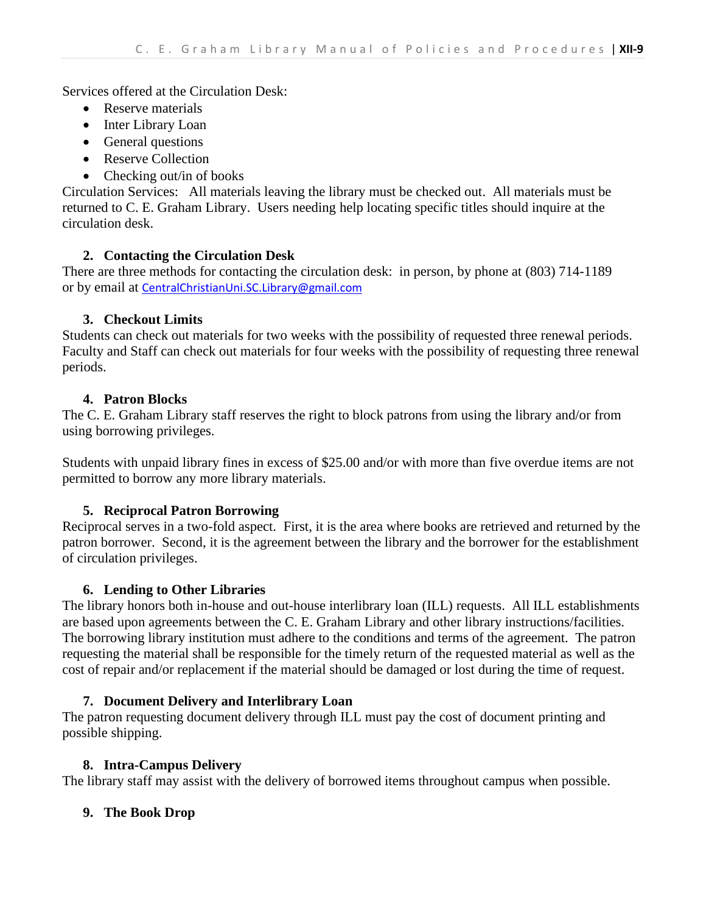Services offered at the Circulation Desk:

- Reserve materials
- Inter Library Loan
- General questions
- Reserve Collection
- Checking out/in of books

Circulation Services: All materials leaving the library must be checked out. All materials must be returned to C. E. Graham Library. Users needing help locating specific titles should inquire at the circulation desk.

#### **2. Contacting the Circulation Desk**

There are three methods for contacting the circulation desk: in person, by phone at (803) 714-1189 or by email at [CentralChristianUni.SC.Library@gmail.com](about:blank)

#### **3. Checkout Limits**

Students can check out materials for two weeks with the possibility of requested three renewal periods. Faculty and Staff can check out materials for four weeks with the possibility of requesting three renewal periods.

#### **4. Patron Blocks**

The C. E. Graham Library staff reserves the right to block patrons from using the library and/or from using borrowing privileges.

Students with unpaid library fines in excess of \$25.00 and/or with more than five overdue items are not permitted to borrow any more library materials.

#### **5. Reciprocal Patron Borrowing**

Reciprocal serves in a two-fold aspect. First, it is the area where books are retrieved and returned by the patron borrower. Second, it is the agreement between the library and the borrower for the establishment of circulation privileges.

#### **6. Lending to Other Libraries**

The library honors both in-house and out-house interlibrary loan (ILL) requests. All ILL establishments are based upon agreements between the C. E. Graham Library and other library instructions/facilities. The borrowing library institution must adhere to the conditions and terms of the agreement. The patron requesting the material shall be responsible for the timely return of the requested material as well as the cost of repair and/or replacement if the material should be damaged or lost during the time of request.

#### **7. Document Delivery and Interlibrary Loan**

The patron requesting document delivery through ILL must pay the cost of document printing and possible shipping.

#### **8. Intra-Campus Delivery**

The library staff may assist with the delivery of borrowed items throughout campus when possible.

#### **9. The Book Drop**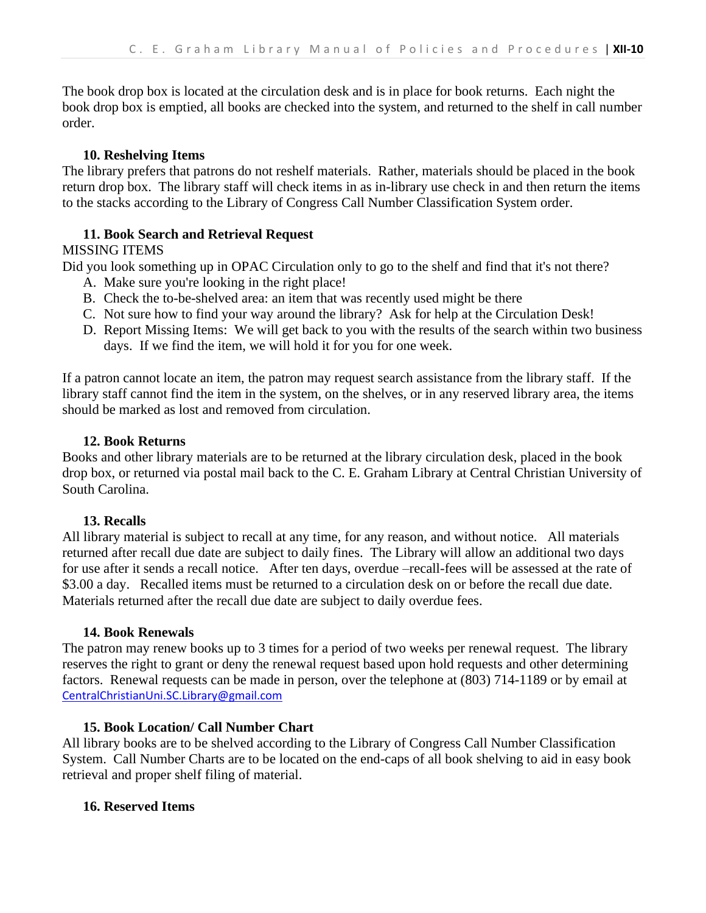The book drop box is located at the circulation desk and is in place for book returns. Each night the book drop box is emptied, all books are checked into the system, and returned to the shelf in call number order.

#### **10. Reshelving Items**

The library prefers that patrons do not reshelf materials. Rather, materials should be placed in the book return drop box. The library staff will check items in as in-library use check in and then return the items to the stacks according to the Library of Congress Call Number Classification System order.

#### **11. Book Search and Retrieval Request**

#### MISSING ITEMS

Did you look something up in OPAC Circulation only to go to the shelf and find that it's not there?

- A. Make sure you're looking in the right place!
- B. Check the to-be-shelved area: an item that was recently used might be there
- C. Not sure how to find your way around the library? Ask for help at the Circulation Desk!
- D. Report Missing Items: We will get back to you with the results of the search within two business days. If we find the item, we will hold it for you for one week.

If a patron cannot locate an item, the patron may request search assistance from the library staff. If the library staff cannot find the item in the system, on the shelves, or in any reserved library area, the items should be marked as lost and removed from circulation.

#### **12. Book Returns**

Books and other library materials are to be returned at the library circulation desk, placed in the book drop box, or returned via postal mail back to the C. E. Graham Library at Central Christian University of South Carolina.

#### **13. Recalls**

All library material is subject to recall at any time, for any reason, and without notice. All materials returned after recall due date are subject to daily fines. The Library will allow an additional two days for use after it sends a recall notice. After ten days, overdue –recall-fees will be assessed at the rate of \$3.00 a day. Recalled items must be returned to a circulation desk on or before the recall due date. Materials returned after the recall due date are subject to daily overdue fees.

#### **14. Book Renewals**

The patron may renew books up to 3 times for a period of two weeks per renewal request. The library reserves the right to grant or deny the renewal request based upon hold requests and other determining factors. Renewal requests can be made in person, over the telephone at (803) 714-1189 or by email at [CentralChristianUni.SC.Library@gmail.com](about:blank)

#### **15. Book Location/ Call Number Chart**

All library books are to be shelved according to the Library of Congress Call Number Classification System. Call Number Charts are to be located on the end-caps of all book shelving to aid in easy book retrieval and proper shelf filing of material.

#### **16. Reserved Items**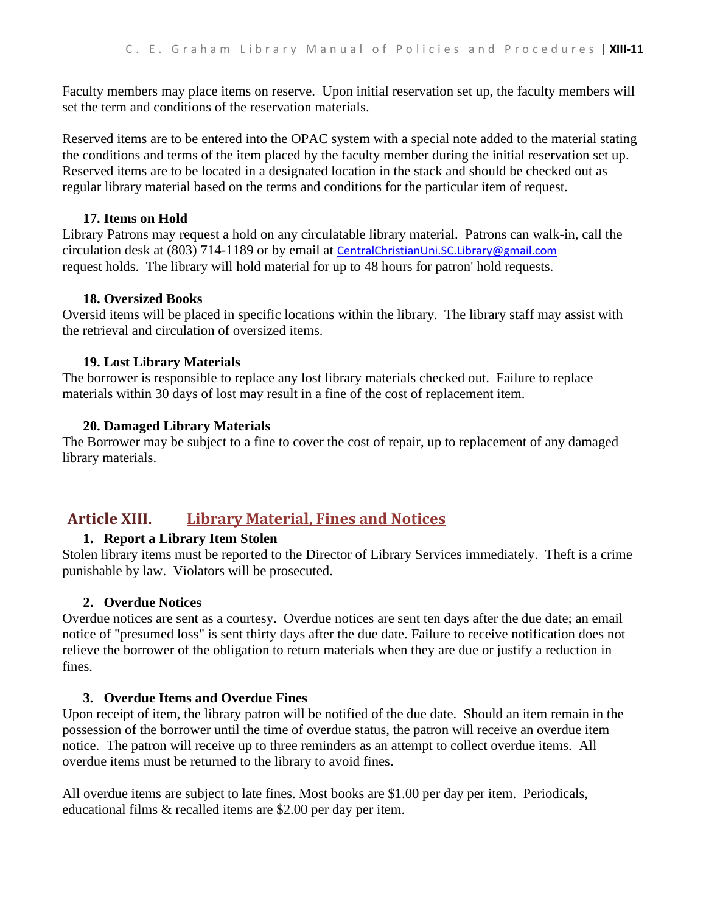Faculty members may place items on reserve. Upon initial reservation set up, the faculty members will set the term and conditions of the reservation materials.

Reserved items are to be entered into the OPAC system with a special note added to the material stating the conditions and terms of the item placed by the faculty member during the initial reservation set up. Reserved items are to be located in a designated location in the stack and should be checked out as regular library material based on the terms and conditions for the particular item of request.

#### **17. Items on Hold**

Library Patrons may request a hold on any circulatable library material. Patrons can walk-in, call the circulation desk at (803) 714-1189 or by email at **[CentralChristianUni.SC.Library@gmail.com](about:blank)** request holds. The library will hold material for up to 48 hours for patron' hold requests.

#### **18. Oversized Books**

Oversid items will be placed in specific locations within the library. The library staff may assist with the retrieval and circulation of oversized items.

#### **19. Lost Library Materials**

The borrower is responsible to replace any lost library materials checked out. Failure to replace materials within 30 days of lost may result in a fine of the cost of replacement item.

#### **20. Damaged Library Materials**

The Borrower may be subject to a fine to cover the cost of repair, up to replacement of any damaged library materials.

#### **Article XIII. Library Material, Fines and Notices**

#### **1. Report a Library Item Stolen**

Stolen library items must be reported to the Director of Library Services immediately. Theft is a crime punishable by law. Violators will be prosecuted.

#### **2. Overdue Notices**

Overdue notices are sent as a courtesy. Overdue notices are sent ten days after the due date; an email notice of "presumed loss" is sent thirty days after the due date. Failure to receive notification does not relieve the borrower of the obligation to return materials when they are due or justify a reduction in fines.

#### **3. Overdue Items and Overdue Fines**

Upon receipt of item, the library patron will be notified of the due date. Should an item remain in the possession of the borrower until the time of overdue status, the patron will receive an overdue item notice. The patron will receive up to three reminders as an attempt to collect overdue items. All overdue items must be returned to the library to avoid fines.

All overdue items are subject to late fines. Most books are \$1.00 per day per item. Periodicals, educational films & recalled items are \$2.00 per day per item.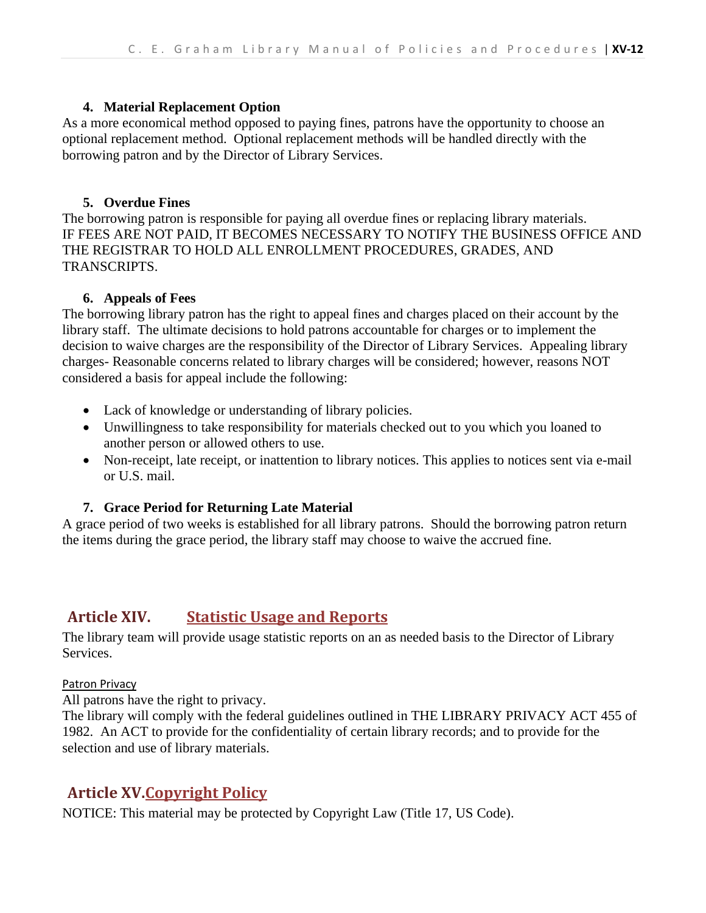#### **4. Material Replacement Option**

As a more economical method opposed to paying fines, patrons have the opportunity to choose an optional replacement method. Optional replacement methods will be handled directly with the borrowing patron and by the Director of Library Services.

#### **5. Overdue Fines**

The borrowing patron is responsible for paying all overdue fines or replacing library materials. IF FEES ARE NOT PAID, IT BECOMES NECESSARY TO NOTIFY THE BUSINESS OFFICE AND THE REGISTRAR TO HOLD ALL ENROLLMENT PROCEDURES, GRADES, AND TRANSCRIPTS.

#### **6. Appeals of Fees**

The borrowing library patron has the right to appeal fines and charges placed on their account by the library staff. The ultimate decisions to hold patrons accountable for charges or to implement the decision to waive charges are the responsibility of the Director of Library Services. Appealing library charges- Reasonable concerns related to library charges will be considered; however, reasons NOT considered a basis for appeal include the following:

- Lack of knowledge or understanding of library policies.
- Unwillingness to take responsibility for materials checked out to you which you loaned to another person or allowed others to use.
- Non-receipt, late receipt, or inattention to library notices. This applies to notices sent via e-mail or U.S. mail.

#### **7. Grace Period for Returning Late Material**

A grace period of two weeks is established for all library patrons. Should the borrowing patron return the items during the grace period, the library staff may choose to waive the accrued fine.

#### **Article XIV. Statistic Usage and Reports**

The library team will provide usage statistic reports on an as needed basis to the Director of Library Services.

#### Patron Privacy

All patrons have the right to privacy.

The library will comply with the federal guidelines outlined in THE LIBRARY PRIVACY ACT 455 of 1982. An ACT to provide for the confidentiality of certain library records; and to provide for the selection and use of library materials.

#### **Article XV.Copyright Policy**

NOTICE: This material may be protected by Copyright Law (Title 17, US Code).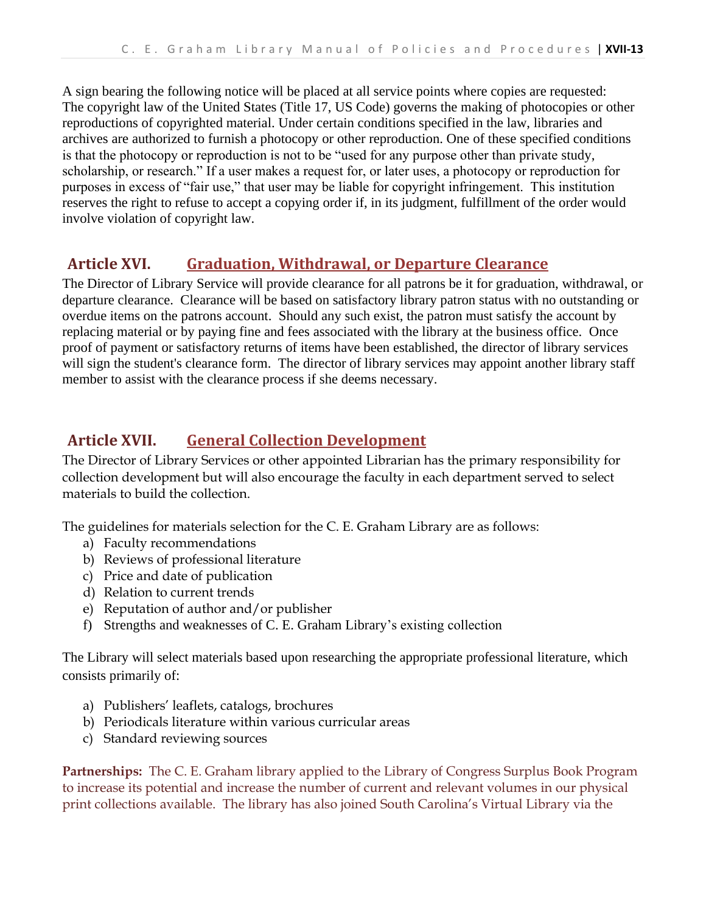A sign bearing the following notice will be placed at all service points where copies are requested: The copyright law of the United States (Title 17, US Code) governs the making of photocopies or other reproductions of copyrighted material. Under certain conditions specified in the law, libraries and archives are authorized to furnish a photocopy or other reproduction. One of these specified conditions is that the photocopy or reproduction is not to be "used for any purpose other than private study, scholarship, or research." If a user makes a request for, or later uses, a photocopy or reproduction for purposes in excess of "fair use," that user may be liable for copyright infringement. This institution reserves the right to refuse to accept a copying order if, in its judgment, fulfillment of the order would involve violation of copyright law.

#### **Article XVI. Graduation, Withdrawal, or Departure Clearance**

The Director of Library Service will provide clearance for all patrons be it for graduation, withdrawal, or departure clearance. Clearance will be based on satisfactory library patron status with no outstanding or overdue items on the patrons account. Should any such exist, the patron must satisfy the account by replacing material or by paying fine and fees associated with the library at the business office. Once proof of payment or satisfactory returns of items have been established, the director of library services will sign the student's clearance form. The director of library services may appoint another library staff member to assist with the clearance process if she deems necessary.

#### **Article XVII. General Collection Development**

The Director of Library Services or other appointed Librarian has the primary responsibility for collection development but will also encourage the faculty in each department served to select materials to build the collection.

The guidelines for materials selection for the C. E. Graham Library are as follows:

- a) Faculty recommendations
- b) Reviews of professional literature
- c) Price and date of publication
- d) Relation to current trends
- e) Reputation of author and/or publisher
- f) Strengths and weaknesses of C. E. Graham Library's existing collection

The Library will select materials based upon researching the appropriate professional literature, which consists primarily of:

- a) Publishers' leaflets, catalogs, brochures
- b) Periodicals literature within various curricular areas
- c) Standard reviewing sources

**Partnerships:** The C. E. Graham library applied to the Library of Congress Surplus Book Program to increase its potential and increase the number of current and relevant volumes in our physical print collections available. The library has also joined South Carolina's Virtual Library via the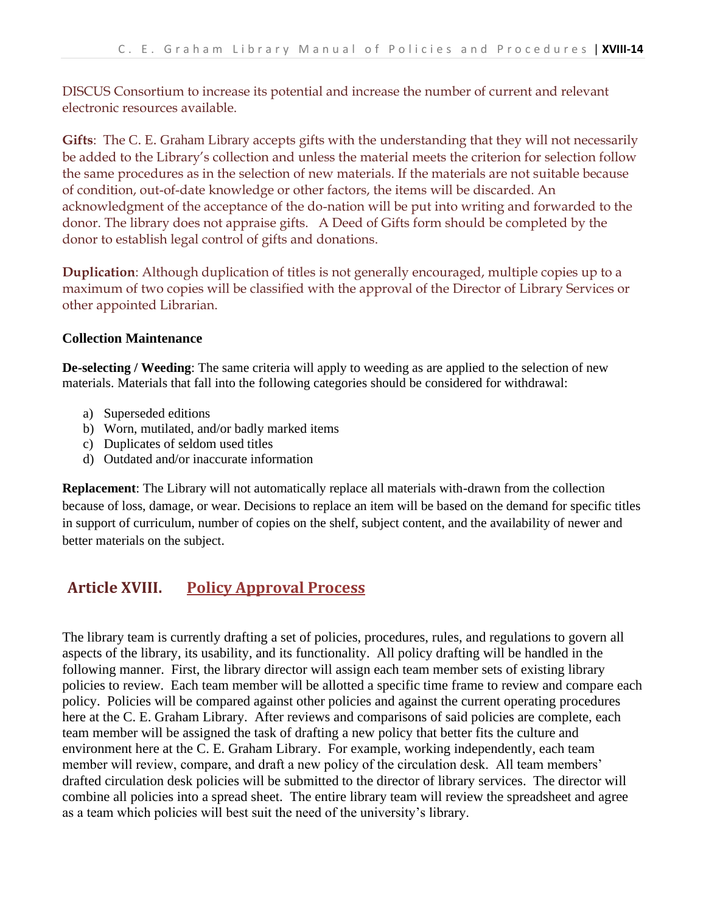DISCUS Consortium to increase its potential and increase the number of current and relevant electronic resources available.

**Gifts**: The C. E. Graham Library accepts gifts with the understanding that they will not necessarily be added to the Library's collection and unless the material meets the criterion for selection follow the same procedures as in the selection of new materials. If the materials are not suitable because of condition, out-of-date knowledge or other factors, the items will be discarded. An acknowledgment of the acceptance of the do-nation will be put into writing and forwarded to the donor. The library does not appraise gifts. A Deed of Gifts form should be completed by the donor to establish legal control of gifts and donations.

**Duplication**: Although duplication of titles is not generally encouraged, multiple copies up to a maximum of two copies will be classified with the approval of the Director of Library Services or other appointed Librarian.

#### **Collection Maintenance**

**De-selecting / Weeding**: The same criteria will apply to weeding as are applied to the selection of new materials. Materials that fall into the following categories should be considered for withdrawal:

- a) Superseded editions
- b) Worn, mutilated, and/or badly marked items
- c) Duplicates of seldom used titles
- d) Outdated and/or inaccurate information

**Replacement**: The Library will not automatically replace all materials with-drawn from the collection because of loss, damage, or wear. Decisions to replace an item will be based on the demand for specific titles in support of curriculum, number of copies on the shelf, subject content, and the availability of newer and better materials on the subject.

#### **Article XVIII. Policy Approval Process**

The library team is currently drafting a set of policies, procedures, rules, and regulations to govern all aspects of the library, its usability, and its functionality. All policy drafting will be handled in the following manner. First, the library director will assign each team member sets of existing library policies to review. Each team member will be allotted a specific time frame to review and compare each policy. Policies will be compared against other policies and against the current operating procedures here at the C. E. Graham Library. After reviews and comparisons of said policies are complete, each team member will be assigned the task of drafting a new policy that better fits the culture and environment here at the C. E. Graham Library. For example, working independently, each team member will review, compare, and draft a new policy of the circulation desk. All team members' drafted circulation desk policies will be submitted to the director of library services. The director will combine all policies into a spread sheet. The entire library team will review the spreadsheet and agree as a team which policies will best suit the need of the university's library.